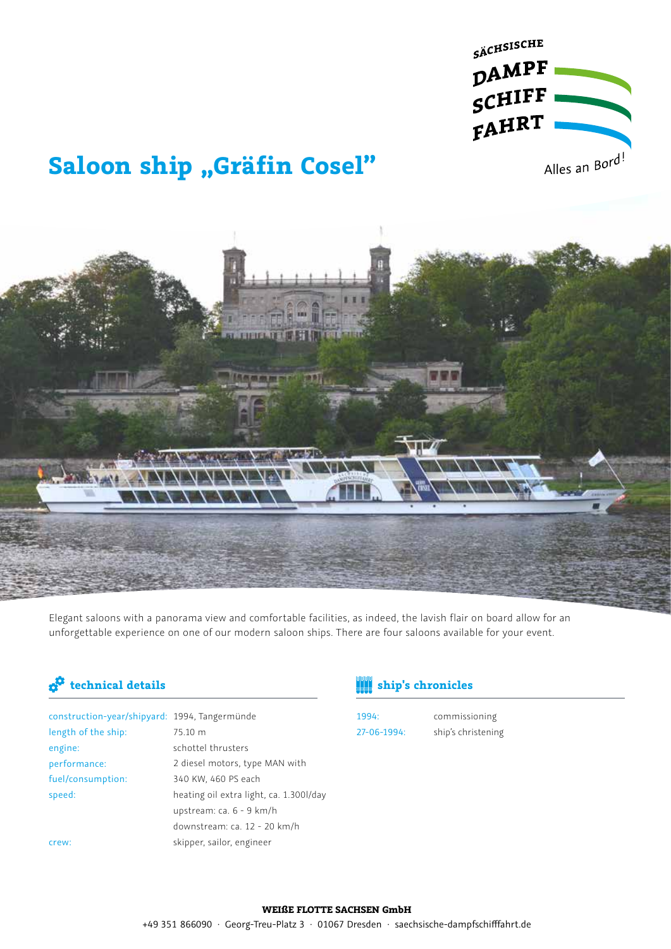

# **Saloon ship "Gräfin Cosel"**

Elegant saloons with a panorama view and comfortable facilities, as indeed, the lavish flair on board allow for an unforgettable experience on one of our modern saloon ships. There are four saloons available for your event.

| construction-year/shipyard: 1994, Tangermünde |                                         |
|-----------------------------------------------|-----------------------------------------|
| length of the ship:                           | 75.10 m                                 |
| engine:                                       | schottel thrusters                      |
| performance:                                  | 2 diesel motors, type MAN with          |
| fuel/consumption:                             | 340 KW, 460 PS each                     |
| speed:                                        | heating oil extra light, ca. 1.300l/day |
|                                               | upstream: ca. 6 - 9 km/h                |
|                                               | downstream: ca. 12 - 20 km/h            |
| crew:                                         | skipper, sailor, engineer               |
|                                               |                                         |

## **technical details ship's chronicles**

1994: 27-06-1994:

commissioning ship's christening